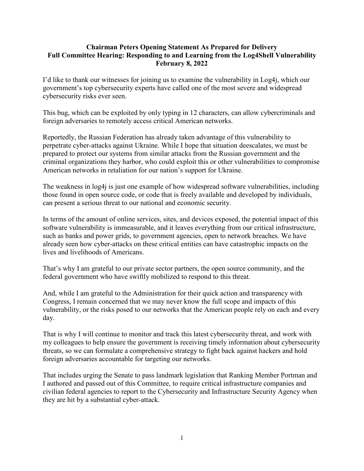## **Chairman Peters Opening Statement As Prepared for Delivery Full Committee Hearing: Responding to and Learning from the Log4Shell Vulnerability February 8, 2022**

I'd like to thank our witnesses for joining us to examine the vulnerability in Log4j, which our government's top cybersecurity experts have called one of the most severe and widespread cybersecurity risks ever seen.

This bug, which can be exploited by only typing in 12 characters, can allow cybercriminals and foreign adversaries to remotely access critical American networks.

Reportedly, the Russian Federation has already taken advantage of this vulnerability to perpetrate cyber-attacks against Ukraine. While I hope that situation deescalates, we must be prepared to protect our systems from similar attacks from the Russian government and the criminal organizations they harbor, who could exploit this or other vulnerabilities to compromise American networks in retaliation for our nation's support for Ukraine.

The weakness in log4j is just one example of how widespread software vulnerabilities, including those found in open source code, or code that is freely available and developed by individuals, can present a serious threat to our national and economic security.

In terms of the amount of online services, sites, and devices exposed, the potential impact of this software vulnerability is immeasurable, and it leaves everything from our critical infrastructure, such as banks and power grids, to government agencies, open to network breaches. We have already seen how cyber-attacks on these critical entities can have catastrophic impacts on the lives and livelihoods of Americans.

That's why I am grateful to our private sector partners, the open source community, and the federal government who have swiftly mobilized to respond to this threat.

And, while I am grateful to the Administration for their quick action and transparency with Congress, I remain concerned that we may never know the full scope and impacts of this vulnerability, or the risks posed to our networks that the American people rely on each and every day.

That is why I will continue to monitor and track this latest cybersecurity threat, and work with my colleagues to help ensure the government is receiving timely information about cybersecurity threats, so we can formulate a comprehensive strategy to fight back against hackers and hold foreign adversaries accountable for targeting our networks.

That includes urging the Senate to pass landmark legislation that Ranking Member Portman and I authored and passed out of this Committee, to require critical infrastructure companies and civilian federal agencies to report to the Cybersecurity and Infrastructure Security Agency when they are hit by a substantial cyber-attack.